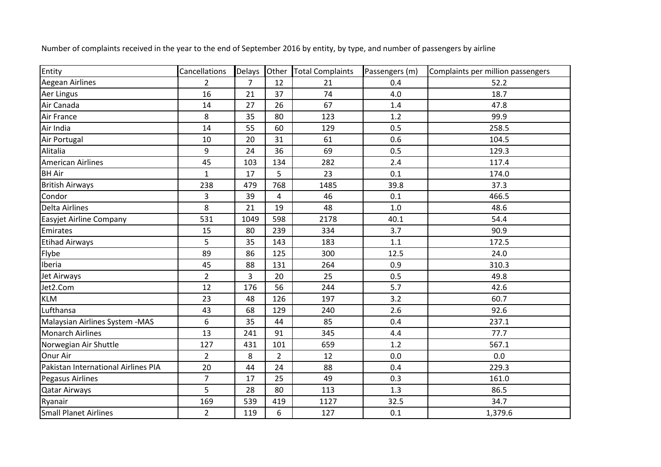| Entity                              | Cancellations  | Delays Other   |                | <b>Total Complaints</b> | Passengers (m) | Complaints per million passengers |
|-------------------------------------|----------------|----------------|----------------|-------------------------|----------------|-----------------------------------|
| <b>Aegean Airlines</b>              | $\overline{2}$ | $\overline{7}$ | 12             | 21                      | 0.4            | 52.2                              |
| Aer Lingus                          | 16             | 21             | 37             | 74                      | 4.0            | 18.7                              |
| Air Canada                          | 14             | 27             | 26             | 67                      | 1.4            | 47.8                              |
| Air France                          | 8              | 35             | 80             | 123                     | 1.2            | 99.9                              |
| Air India                           | 14             | 55             | 60             | 129                     | 0.5            | 258.5                             |
| Air Portugal                        | 10             | 20             | 31             | 61                      | 0.6            | 104.5                             |
| Alitalia                            | 9              | 24             | 36             | 69                      | 0.5            | 129.3                             |
| <b>American Airlines</b>            | 45             | 103            | 134            | 282                     | 2.4            | 117.4                             |
| <b>BH Air</b>                       | $\mathbf{1}$   | 17             | 5              | 23                      | 0.1            | 174.0                             |
| <b>British Airways</b>              | 238            | 479            | 768            | 1485                    | 39.8           | 37.3                              |
| Condor                              | 3              | 39             | 4              | 46                      | 0.1            | 466.5                             |
| <b>Delta Airlines</b>               | 8              | 21             | 19             | 48                      | $1.0$          | 48.6                              |
| <b>Easyjet Airline Company</b>      | 531            | 1049           | 598            | 2178                    | 40.1           | 54.4                              |
| Emirates                            | 15             | 80             | 239            | 334                     | 3.7            | 90.9                              |
| <b>Etihad Airways</b>               | 5              | 35             | 143            | 183                     | 1.1            | 172.5                             |
| Flybe                               | 89             | 86             | 125            | 300                     | 12.5           | 24.0                              |
| Iberia                              | 45             | 88             | 131            | 264                     | 0.9            | 310.3                             |
| Jet Airways                         | $\overline{2}$ | $\overline{3}$ | 20             | 25                      | 0.5            | 49.8                              |
| Jet2.Com                            | 12             | 176            | 56             | 244                     | 5.7            | 42.6                              |
| <b>KLM</b>                          | 23             | 48             | 126            | 197                     | 3.2            | 60.7                              |
| Lufthansa                           | 43             | 68             | 129            | 240                     | 2.6            | 92.6                              |
| Malaysian Airlines System - MAS     | 6              | 35             | 44             | 85                      | 0.4            | 237.1                             |
| <b>Monarch Airlines</b>             | 13             | 241            | 91             | 345                     | 4.4            | 77.7                              |
| Norwegian Air Shuttle               | 127            | 431            | 101            | 659                     | 1.2            | 567.1                             |
| Onur Air                            | $\overline{2}$ | 8              | $\overline{2}$ | 12                      | 0.0            | 0.0                               |
| Pakistan International Airlines PIA | 20             | 44             | 24             | 88                      | 0.4            | 229.3                             |
| Pegasus Airlines                    | $\overline{7}$ | 17             | 25             | 49                      | 0.3            | 161.0                             |
| Qatar Airways                       | 5              | 28             | 80             | 113                     | 1.3            | 86.5                              |
| Ryanair                             | 169            | 539            | 419            | 1127                    | 32.5           | 34.7                              |
| <b>Small Planet Airlines</b>        | $\overline{2}$ | 119            | 6              | 127                     | 0.1            | 1,379.6                           |

Number of complaints received in the year to the end of September 2016 by entity, by type, and number of passengers by airline